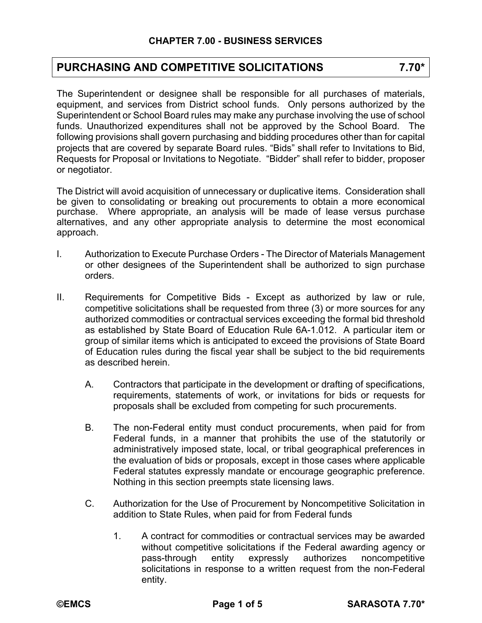## **PURCHASING AND COMPETITIVE SOLICITATIONS 7.70\***

The Superintendent or designee shall be responsible for all purchases of materials, equipment, and services from District school funds. Only persons authorized by the Superintendent or School Board rules may make any purchase involving the use of school funds. Unauthorized expenditures shall not be approved by the School Board. The following provisions shall govern purchasing and bidding procedures other than for capital projects that are covered by separate Board rules. "Bids" shall refer to Invitations to Bid, Requests for Proposal or Invitations to Negotiate. "Bidder" shall refer to bidder, proposer or negotiator.

The District will avoid acquisition of unnecessary or duplicative items. Consideration shall be given to consolidating or breaking out procurements to obtain a more economical purchase. Where appropriate, an analysis will be made of lease versus purchase alternatives, and any other appropriate analysis to determine the most economical approach.

- I. Authorization to Execute Purchase Orders The Director of Materials Management or other designees of the Superintendent shall be authorized to sign purchase orders.
- II. Requirements for Competitive Bids Except as authorized by law or rule, competitive solicitations shall be requested from three (3) or more sources for any authorized commodities or contractual services exceeding the formal bid threshold as established by State Board of Education Rule 6A-1.012. A particular item or group of similar items which is anticipated to exceed the provisions of State Board of Education rules during the fiscal year shall be subject to the bid requirements as described herein.
	- A. Contractors that participate in the development or drafting of specifications, requirements, statements of work, or invitations for bids or requests for proposals shall be excluded from competing for such procurements.
	- B. The non-Federal entity must conduct procurements, when paid for from Federal funds, in a manner that prohibits the use of the statutorily or administratively imposed state, local, or tribal geographical preferences in the evaluation of bids or proposals, except in those cases where applicable Federal statutes expressly mandate or encourage geographic preference. Nothing in this section preempts state licensing laws.
	- C. Authorization for the Use of Procurement by Noncompetitive Solicitation in addition to State Rules, when paid for from Federal funds
		- 1. A contract for commodities or contractual services may be awarded without competitive solicitations if the Federal awarding agency or pass-through entity expressly authorizes noncompetitive solicitations in response to a written request from the non-Federal entity.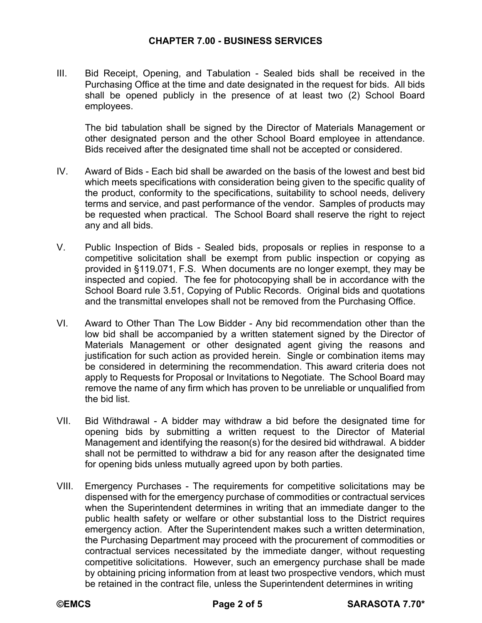## **CHAPTER 7.00 - BUSINESS SERVICES**

III. Bid Receipt, Opening, and Tabulation - Sealed bids shall be received in the Purchasing Office at the time and date designated in the request for bids. All bids shall be opened publicly in the presence of at least two (2) School Board employees.

The bid tabulation shall be signed by the Director of Materials Management or other designated person and the other School Board employee in attendance. Bids received after the designated time shall not be accepted or considered.

- IV. Award of Bids Each bid shall be awarded on the basis of the lowest and best bid which meets specifications with consideration being given to the specific quality of the product, conformity to the specifications, suitability to school needs, delivery terms and service, and past performance of the vendor. Samples of products may be requested when practical. The School Board shall reserve the right to reject any and all bids.
- V. Public Inspection of Bids Sealed bids, proposals or replies in response to a competitive solicitation shall be exempt from public inspection or copying as provided in §119.071, F.S. When documents are no longer exempt, they may be inspected and copied. The fee for photocopying shall be in accordance with the School Board rule 3.51, Copying of Public Records. Original bids and quotations and the transmittal envelopes shall not be removed from the Purchasing Office.
- VI. Award to Other Than The Low Bidder Any bid recommendation other than the low bid shall be accompanied by a written statement signed by the Director of Materials Management or other designated agent giving the reasons and justification for such action as provided herein. Single or combination items may be considered in determining the recommendation. This award criteria does not apply to Requests for Proposal or Invitations to Negotiate. The School Board may remove the name of any firm which has proven to be unreliable or unqualified from the bid list.
- VII. Bid Withdrawal A bidder may withdraw a bid before the designated time for opening bids by submitting a written request to the Director of Material Management and identifying the reason(s) for the desired bid withdrawal. A bidder shall not be permitted to withdraw a bid for any reason after the designated time for opening bids unless mutually agreed upon by both parties.
- VIII. Emergency Purchases The requirements for competitive solicitations may be dispensed with for the emergency purchase of commodities or contractual services when the Superintendent determines in writing that an immediate danger to the public health safety or welfare or other substantial loss to the District requires emergency action. After the Superintendent makes such a written determination, the Purchasing Department may proceed with the procurement of commodities or contractual services necessitated by the immediate danger, without requesting competitive solicitations. However, such an emergency purchase shall be made by obtaining pricing information from at least two prospective vendors, which must be retained in the contract file, unless the Superintendent determines in writing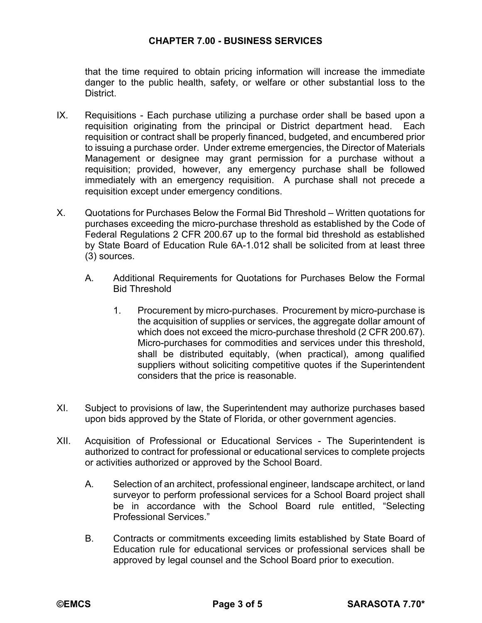## **CHAPTER 7.00 - BUSINESS SERVICES**

that the time required to obtain pricing information will increase the immediate danger to the public health, safety, or welfare or other substantial loss to the District.

- IX. Requisitions Each purchase utilizing a purchase order shall be based upon a requisition originating from the principal or District department head. Each requisition or contract shall be properly financed, budgeted, and encumbered prior to issuing a purchase order. Under extreme emergencies, the Director of Materials Management or designee may grant permission for a purchase without a requisition; provided, however, any emergency purchase shall be followed immediately with an emergency requisition. A purchase shall not precede a requisition except under emergency conditions.
- X. Quotations for Purchases Below the Formal Bid Threshold Written quotations for purchases exceeding the micro-purchase threshold as established by the Code of Federal Regulations 2 CFR 200.67 up to the formal bid threshold as established by State Board of Education Rule 6A-1.012 shall be solicited from at least three (3) sources.
	- A. Additional Requirements for Quotations for Purchases Below the Formal Bid Threshold
		- 1. Procurement by micro-purchases. Procurement by micro-purchase is the acquisition of supplies or services, the aggregate dollar amount of which does not exceed the micro-purchase threshold (2 CFR 200.67). Micro-purchases for commodities and services under this threshold, shall be distributed equitably, (when practical), among qualified suppliers without soliciting competitive quotes if the Superintendent considers that the price is reasonable.
- XI. Subject to provisions of law, the Superintendent may authorize purchases based upon bids approved by the State of Florida, or other government agencies.
- XII. Acquisition of Professional or Educational Services The Superintendent is authorized to contract for professional or educational services to complete projects or activities authorized or approved by the School Board.
	- A. Selection of an architect, professional engineer, landscape architect, or land surveyor to perform professional services for a School Board project shall be in accordance with the School Board rule entitled, "Selecting Professional Services."
	- B. Contracts or commitments exceeding limits established by State Board of Education rule for educational services or professional services shall be approved by legal counsel and the School Board prior to execution.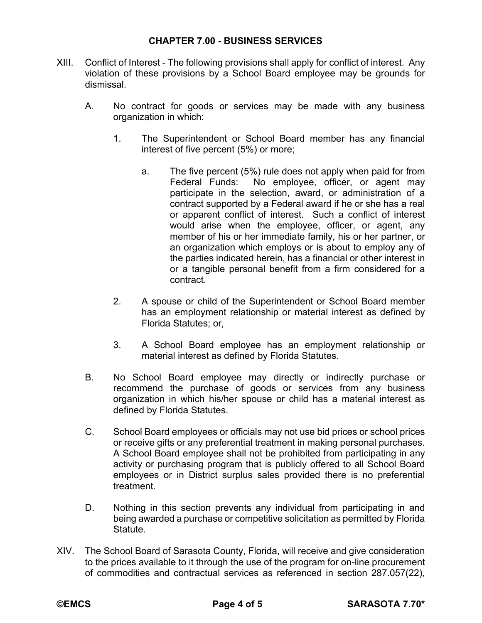- XIII. Conflict of Interest The following provisions shall apply for conflict of interest. Any violation of these provisions by a School Board employee may be grounds for dismissal.
	- A. No contract for goods or services may be made with any business organization in which:
		- 1. The Superintendent or School Board member has any financial interest of five percent (5%) or more;
			- a. The five percent (5%) rule does not apply when paid for from Federal Funds: No employee, officer, or agent may participate in the selection, award, or administration of a contract supported by a Federal award if he or she has a real or apparent conflict of interest. Such a conflict of interest would arise when the employee, officer, or agent, any member of his or her immediate family, his or her partner, or an organization which employs or is about to employ any of the parties indicated herein, has a financial or other interest in or a tangible personal benefit from a firm considered for a contract.
		- 2. A spouse or child of the Superintendent or School Board member has an employment relationship or material interest as defined by Florida Statutes; or,
		- 3. A School Board employee has an employment relationship or material interest as defined by Florida Statutes.
	- B. No School Board employee may directly or indirectly purchase or recommend the purchase of goods or services from any business organization in which his/her spouse or child has a material interest as defined by Florida Statutes.
	- C. School Board employees or officials may not use bid prices or school prices or receive gifts or any preferential treatment in making personal purchases. A School Board employee shall not be prohibited from participating in any activity or purchasing program that is publicly offered to all School Board employees or in District surplus sales provided there is no preferential treatment.
	- D. Nothing in this section prevents any individual from participating in and being awarded a purchase or competitive solicitation as permitted by Florida Statute.
- XIV. The School Board of Sarasota County, Florida, will receive and give consideration to the prices available to it through the use of the program for on-line procurement of commodities and contractual services as referenced in section 287.057(22),